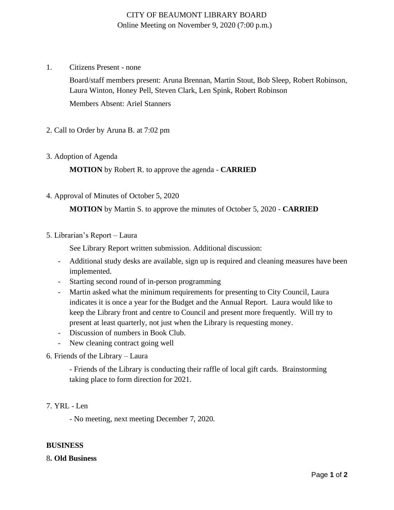# CITY OF BEAUMONT LIBRARY BOARD Online Meeting on November 9, 2020 (7:00 p.m.)

1. Citizens Present - none

Board/staff members present: Aruna Brennan, Martin Stout, Bob Sleep, Robert Robinson, Laura Winton, Honey Pell, Steven Clark, Len Spink, Robert Robinson

Members Absent: Ariel Stanners

- 2. Call to Order by Aruna B. at 7:02 pm
- 3. Adoption of Agenda

**MOTION** by Robert R. to approve the agenda - **CARRIED**

4. Approval of Minutes of October 5, 2020

**MOTION** by Martin S. to approve the minutes of October 5, 2020 - **CARRIED**

5. Librarian's Report – Laura

See Library Report written submission. Additional discussion:

- Additional study desks are available, sign up is required and cleaning measures have been implemented.
- Starting second round of in-person programming
- Martin asked what the minimum requirements for presenting to City Council, Laura indicates it is once a year for the Budget and the Annual Report. Laura would like to keep the Library front and centre to Council and present more frequently. Will try to present at least quarterly, not just when the Library is requesting money.
- Discussion of numbers in Book Club.
- New cleaning contract going well
- 6. Friends of the Library Laura

- Friends of the Library is conducting their raffle of local gift cards. Brainstorming taking place to form direction for 2021.

7. YRL - Len

- No meeting, next meeting December 7, 2020.

## **BUSINESS**

## 8**. Old Business**